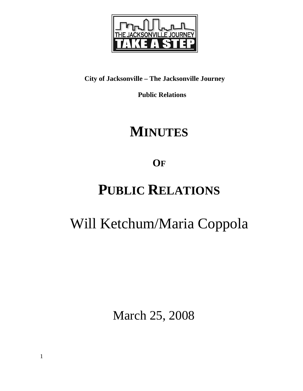

### **City of Jacksonville – The Jacksonville Journey**

 **Public Relations** 

## **MINUTES**

**OF**

## **PUBLIC RELATIONS**

# Will Ketchum/Maria Coppola

March 25, 2008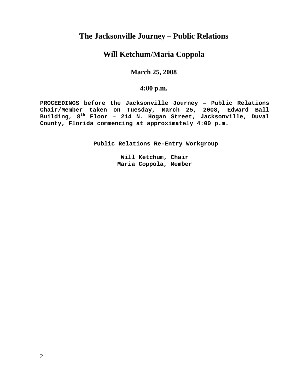### **The Jacksonville Journey – Public Relations**

### **Will Ketchum/Maria Coppola**

#### **March 25, 2008**

#### **4:00 p.m.**

**PROCEEDINGS before the Jacksonville Journey – Public Relations Chair/Member taken on Tuesday, March 25, 2008, Edward Ball Building, 8th Floor – 214 N. Hogan Street, Jacksonville, Duval County, Florida commencing at approximately 4:00 p.m.** 

**Public Relations Re-Entry Workgroup** 

**Will Ketchum, Chair Maria Coppola, Member**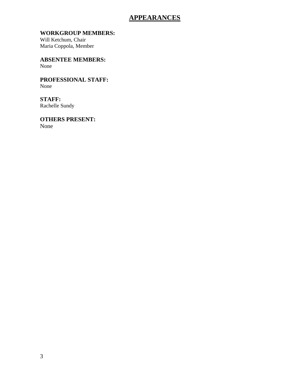### **APPEARANCES**

#### **WORKGROUP MEMBERS:**

Will Ketchum, Chair Maria Coppola, Member

**ABSENTEE MEMBERS:**  None

**PROFESSIONAL STAFF:**  None

**STAFF:**  Rachelle Sundy

**OTHERS PRESENT:**  None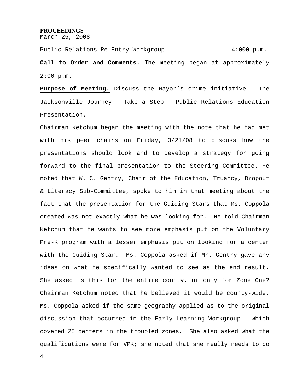#### **PROCEEDINGS**

March 25, 2008

Public Relations Re-Entry Workgroup 4:000 p.m.

**Call to Order and Comments.** The meeting began at approximately 2:00 p.m.

**Purpose of Meeting.** Discuss the Mayor's crime initiative – The Jacksonville Journey – Take a Step – Public Relations Education Presentation.

Chairman Ketchum began the meeting with the note that he had met with his peer chairs on Friday, 3/21/08 to discuss how the presentations should look and to develop a strategy for going forward to the final presentation to the Steering Committee. He noted that W. C. Gentry, Chair of the Education, Truancy, Dropout & Literacy Sub-Committee, spoke to him in that meeting about the fact that the presentation for the Guiding Stars that Ms. Coppola created was not exactly what he was looking for. He told Chairman Ketchum that he wants to see more emphasis put on the Voluntary Pre-K program with a lesser emphasis put on looking for a center with the Guiding Star. Ms. Coppola asked if Mr. Gentry gave any ideas on what he specifically wanted to see as the end result. She asked is this for the entire county, or only for Zone One? Chairman Ketchum noted that he believed it would be county-wide. Ms. Coppola asked if the same geography applied as to the original discussion that occurred in the Early Learning Workgroup – which covered 25 centers in the troubled zones. She also asked what the qualifications were for VPK; she noted that she really needs to do

4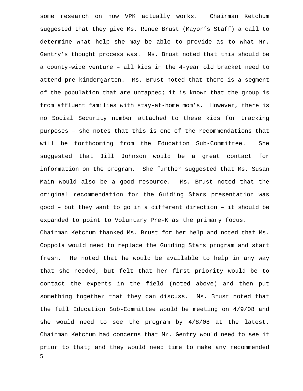5 some research on how VPK actually works. Chairman Ketchum suggested that they give Ms. Renee Brust (Mayor's Staff) a call to determine what help she may be able to provide as to what Mr. Gentry's thought process was. Ms. Brust noted that this should be a county-wide venture – all kids in the 4-year old bracket need to attend pre-kindergarten. Ms. Brust noted that there is a segment of the population that are untapped; it is known that the group is from affluent families with stay-at-home mom's. However, there is no Social Security number attached to these kids for tracking purposes – she notes that this is one of the recommendations that will be forthcoming from the Education Sub-Committee. She suggested that Jill Johnson would be a great contact for information on the program. She further suggested that Ms. Susan Main would also be a good resource. Ms. Brust noted that the original recommendation for the Guiding Stars presentation was good – but they want to go in a different direction – it should be expanded to point to Voluntary Pre-K as the primary focus. Chairman Ketchum thanked Ms. Brust for her help and noted that Ms. Coppola would need to replace the Guiding Stars program and start fresh. He noted that he would be available to help in any way that she needed, but felt that her first priority would be to contact the experts in the field (noted above) and then put something together that they can discuss. Ms. Brust noted that the full Education Sub-Committee would be meeting on 4/9/08 and she would need to see the program by 4/8/08 at the latest. Chairman Ketchum had concerns that Mr. Gentry would need to see it prior to that; and they would need time to make any recommended